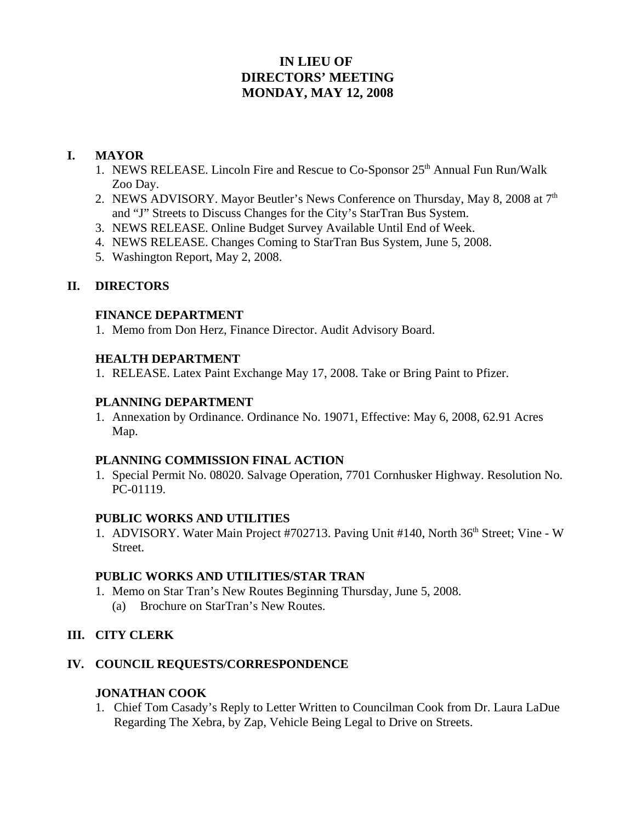# **IN LIEU OF DIRECTORS' MEETING MONDAY, MAY 12, 2008**

### **I. MAYOR**

- 1. NEWS RELEASE. Lincoln Fire and Rescue to  $Co\text{-}Sponsor 25<sup>th</sup>$  Annual Fun Run/Walk Zoo Day.
- 2. NEWS ADVISORY. Mayor Beutler's News Conference on Thursday, May 8, 2008 at  $7<sup>th</sup>$ and "J" Streets to Discuss Changes for the City's StarTran Bus System.
- 3. NEWS RELEASE. Online Budget Survey Available Until End of Week.
- 4. NEWS RELEASE. Changes Coming to StarTran Bus System, June 5, 2008.
- 5. Washington Report, May 2, 2008.

### **II. DIRECTORS**

#### **FINANCE DEPARTMENT**

1. Memo from Don Herz, Finance Director. Audit Advisory Board.

#### **HEALTH DEPARTMENT**

1. RELEASE. Latex Paint Exchange May 17, 2008. Take or Bring Paint to Pfizer.

#### **PLANNING DEPARTMENT**

1. Annexation by Ordinance. Ordinance No. 19071, Effective: May 6, 2008, 62.91 Acres Map.

#### **PLANNING COMMISSION FINAL ACTION**

1. Special Permit No. 08020. Salvage Operation, 7701 Cornhusker Highway. Resolution No. PC-01119.

### **PUBLIC WORKS AND UTILITIES**

1. ADVISORY. Water Main Project #702713. Paving Unit #140, North 36<sup>th</sup> Street; Vine - W Street.

### **PUBLIC WORKS AND UTILITIES/STAR TRAN**

- 1. Memo on Star Tran's New Routes Beginning Thursday, June 5, 2008.
	- (a) Brochure on StarTran's New Routes.

### **III. CITY CLERK**

### **IV. COUNCIL REQUESTS/CORRESPONDENCE**

### **JONATHAN COOK**

1. Chief Tom Casady's Reply to Letter Written to Councilman Cook from Dr. Laura LaDue Regarding The Xebra, by Zap, Vehicle Being Legal to Drive on Streets.